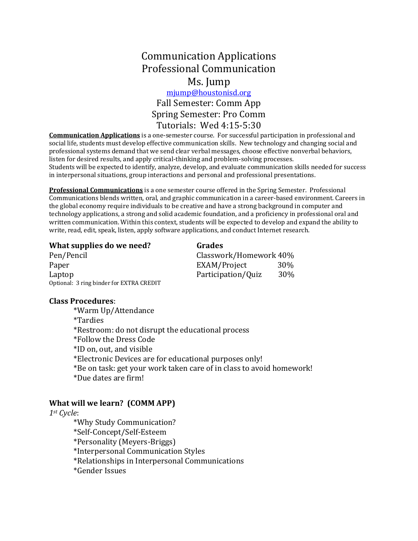# Communication Applications Professional Communication Ms. Jump

# [mjump@houstonisd.org](mailto:mjump@houstonisd.org) Fall Semester: Comm App Spring Semester: Pro Comm Tutorials: Wed 4:15-5:30

**Communication Applications** is a one-semester course. For successful participation in professional and social life, students must develop effective communication skills. New technology and changing social and professional systems demand that we send clear verbal messages, choose effective nonverbal behaviors, listen for desired results, and apply critical-thinking and problem-solving processes. Students will be expected to identify, analyze, develop, and evaluate communication skills needed for success in interpersonal situations, group interactions and personal and professional presentations.

**Professional Communications** is a one semester course offered in the Spring Semester. Professional Communications blends written, oral, and graphic communication in a career-based environment. Careers in the global economy require individuals to be creative and have a strong background in computer and technology applications, a strong and solid academic foundation, and a proficiency in professional oral and written communication. Within this context, students will be expected to develop and expand the ability to write, read, edit, speak, listen, apply software applications, and conduct Internet research.

#### **What supplies do we need?** Grades

| Pen/Pencil                               |                    | Classwork/Homework 40% |  |
|------------------------------------------|--------------------|------------------------|--|
| Paper                                    | EXAM/Project       | 30%                    |  |
| Laptop                                   | Participation/Quiz | 30%                    |  |
| Optional: 3 ring binder for EXTRA CREDIT |                    |                        |  |

#### **Class Procedures**:

\*Warm Up/Attendance \*Tardies \*Restroom: do not disrupt the educational process \*Follow the Dress Code \*ID on, out, and visible \*Electronic Devices are for educational purposes only! \*Be on task: get your work taken care of in class to avoid homework! \*Due dates are firm!

#### **What will we learn? (COMM APP)**

*1st Cycle*:

\*Why Study Communication? \*Self-Concept/Self-Esteem \*Personality (Meyers-Briggs) \*Interpersonal Communication Styles \*Relationships in Interpersonal Communications \*Gender Issues